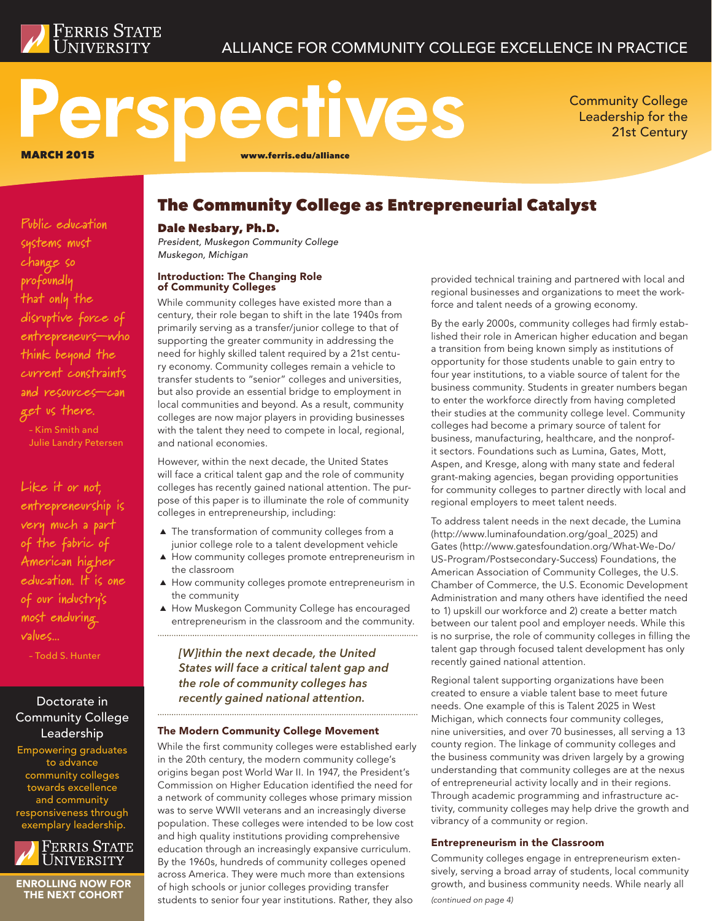

# ALLIANCE FOR COMMUNITY COLLEGE EXCELLENCE IN PRACTICE

# Perspectives MARCH 2015 www.ferris.edu/alliance

Community College Leadership for the 21st Century

**Public education systems must change so profoundly that only the** 

**disruptive force of entrepreneurs—who think beyond the current constraints and resources—can** 

**get us there.** – Kim Smith and Julie Landry Petersen

**Like it or not, entrepreneurship is**  The Community College as Entrepreneurial Catalyst

## Dale Nesbary, Ph.D.

*President, Muskegon Community College Muskegon, Michigan*

#### Introduction: The Changing Role of Community Colleges

While community colleges have existed more than a century, their role began to shift in the late 1940s from primarily serving as a transfer/junior college to that of supporting the greater community in addressing the need for highly skilled talent required by a 21st century economy. Community colleges remain a vehicle to transfer students to "senior" colleges and universities, but also provide an essential bridge to employment in local communities and beyond. As a result, community colleges are now major players in providing businesses with the talent they need to compete in local, regional, and national economies.

However, within the next decade, the United States will face a critical talent gap and the role of community colleges has recently gained national attention. The purpose of this paper is to illuminate the role of community colleges in entrepreneurship, including:

- $\blacktriangle$  The transformation of community colleges from a junior college role to a talent development vehicle
- A How community colleges promote entrepreneurism in the classroom
- A How community colleges promote entrepreneurism in the community
- A How Muskegon Community College has encouraged entrepreneurism in the classroom and the community.

# *[W]ithin the next decade, the United States will face a critical talent gap and the role of community colleges has recently gained national attention.*

## The Modern Community College Movement

While the first community colleges were established early in the 20th century, the modern community college's origins began post World War II. In 1947, the President's Commission on Higher Education identified the need for a network of community colleges whose primary mission was to serve WWII veterans and an increasingly diverse population. These colleges were intended to be low cost and high quality institutions providing comprehensive education through an increasingly expansive curriculum. By the 1960s, hundreds of community colleges opened across America. They were much more than extensions of high schools or junior colleges providing transfer students to senior four year institutions. Rather, they also

provided technical training and partnered with local and regional businesses and organizations to meet the workforce and talent needs of a growing economy.

By the early 2000s, community colleges had firmly established their role in American higher education and began a transition from being known simply as institutions of opportunity for those students unable to gain entry to four year institutions, to a viable source of talent for the business community. Students in greater numbers began to enter the workforce directly from having completed their studies at the community college level. Community colleges had become a primary source of talent for business, manufacturing, healthcare, and the nonprofit sectors. Foundations such as Lumina, Gates, Mott, Aspen, and Kresge, along with many state and federal grant-making agencies, began providing opportunities for community colleges to partner directly with local and regional employers to meet talent needs.

To address talent needs in the next decade, the Lumina (http://www.luminafoundation.org/goal\_2025) and Gates (http://www.gatesfoundation.org/What-We-Do/ US-Program/Postsecondary-Success) Foundations, the American Association of Community Colleges, the U.S. Chamber of Commerce, the U.S. Economic Development Administration and many others have identified the need to 1) upskill our workforce and 2) create a better match between our talent pool and employer needs. While this is no surprise, the role of community colleges in filling the talent gap through focused talent development has only recently gained national attention.

Regional talent supporting organizations have been created to ensure a viable talent base to meet future needs. One example of this is Talent 2025 in West Michigan, which connects four community colleges, nine universities, and over 70 businesses, all serving a 13 county region. The linkage of community colleges and the business community was driven largely by a growing understanding that community colleges are at the nexus of entrepreneurial activity locally and in their regions. Through academic programming and infrastructure activity, community colleges may help drive the growth and vibrancy of a community or region.

## Entrepreneurism in the Classroom

Community colleges engage in entrepreneurism extensively, serving a broad array of students, local community growth, and business community needs. While nearly all

*(continued on page 4)*

**very much a part of the fabric of American higher education. It is one of our industry's most enduring values...**

– Todd S. Hunter

# Doctorate in Community College Leadership

Empowering graduates to advance community colleges towards excellence and community responsiveness through exemplary leadership.



ENROLLING NOW FOR THE NEXT COHORT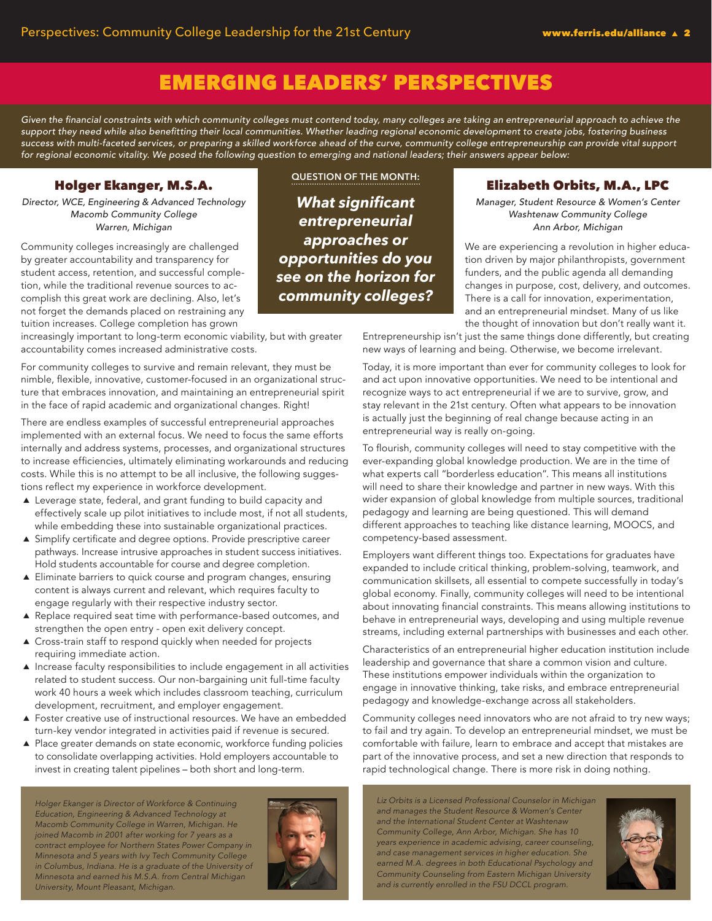# EMERGING LEADERS' PERSPECTIVES

Given the financial constraints with which community colleges must contend today, many colleges are taking an entrepreneurial approach to achieve the support they need while also benefitting their local communities. Whether leading regional economic development to create jobs, fostering business success with multi-faceted services, or preparing a skilled workforce ahead of the curve, community college entrepreneurship can provide vital support for regional economic vitality. We posed the following question to emerging and national leaders; their answers appear below:

# Holger Ekanger, M.S.A.

*Director, WCE, Engineering & Advanced Technology Macomb Community College Warren, Michigan*

Community colleges increasingly are challenged by greater accountability and transparency for student access, retention, and successful completion, while the traditional revenue sources to accomplish this great work are declining. Also, let's not forget the demands placed on restraining any tuition increases. College completion has grown

increasingly important to long-term economic viability, but with greater accountability comes increased administrative costs.

For community colleges to survive and remain relevant, they must be nimble, flexible, innovative, customer-focused in an organizational structure that embraces innovation, and maintaining an entrepreneurial spirit in the face of rapid academic and organizational changes. Right!

There are endless examples of successful entrepreneurial approaches implemented with an external focus. We need to focus the same efforts internally and address systems, processes, and organizational structures to increase efficiencies, ultimately eliminating workarounds and reducing costs. While this is no attempt to be all inclusive, the following suggestions reflect my experience in workforce development.

- $\triangle$  Leverage state, federal, and grant funding to build capacity and effectively scale up pilot initiatives to include most, if not all students, while embedding these into sustainable organizational practices.
- ▲ Simplify certificate and degree options. Provide prescriptive career pathways. Increase intrusive approaches in student success initiatives. Hold students accountable for course and degree completion.
- ፖ Eliminate barriers to quick course and program changes, ensuring content is always current and relevant, which requires faculty to engage regularly with their respective industry sector.
- A Replace required seat time with performance-based outcomes, and strengthen the open entry - open exit delivery concept.
- $\triangle$  Cross-train staff to respond quickly when needed for projects requiring immediate action.
- $\blacktriangle$  Increase faculty responsibilities to include engagement in all activities related to student success. Our non-bargaining unit full-time faculty work 40 hours a week which includes classroom teaching, curriculum development, recruitment, and employer engagement.
- $\blacktriangle$  Foster creative use of instructional resources. We have an embedded turn-key vendor integrated in activities paid if revenue is secured.
- ▲ Place greater demands on state economic, workforce funding policies to consolidate overlapping activities. Hold employers accountable to invest in creating talent pipelines – both short and long-term.

*Holger Ekanger is Director of Workforce & Continuing Education, Engineering & Advanced Technology at Macomb Community College in Warren, Michigan. He joined Macomb in 2001 after working for 7 years as a contract employee for Northern States Power Company in Minnesota and 5 years with Ivy Tech Community College in Columbus, Indiana. He is a graduate of the University of Minnesota and earned his M.S.A. from Central Michigan University, Mount Pleasant, Michigan.*



**QUESTION OF THE MONTH:**

*What significant entrepreneurial approaches or opportunities do you see on the horizon for community colleges?*

# Elizabeth Orbits, M.A., LPC

*Manager, Student Resource & Women's Center Washtenaw Community College Ann Arbor, Michigan*

We are experiencing a revolution in higher education driven by major philanthropists, government funders, and the public agenda all demanding changes in purpose, cost, delivery, and outcomes. There is a call for innovation, experimentation, and an entrepreneurial mindset. Many of us like the thought of innovation but don't really want it.

Entrepreneurship isn't just the same things done differently, but creating new ways of learning and being. Otherwise, we become irrelevant.

Today, it is more important than ever for community colleges to look for and act upon innovative opportunities. We need to be intentional and recognize ways to act entrepreneurial if we are to survive, grow, and stay relevant in the 21st century. Often what appears to be innovation is actually just the beginning of real change because acting in an entrepreneurial way is really on-going.

To flourish, community colleges will need to stay competitive with the ever-expanding global knowledge production. We are in the time of what experts call "borderless education". This means all institutions will need to share their knowledge and partner in new ways. With this wider expansion of global knowledge from multiple sources, traditional pedagogy and learning are being questioned. This will demand different approaches to teaching like distance learning, MOOCS, and competency-based assessment.

Employers want different things too. Expectations for graduates have expanded to include critical thinking, problem-solving, teamwork, and communication skillsets, all essential to compete successfully in today's global economy. Finally, community colleges will need to be intentional about innovating financial constraints. This means allowing institutions to behave in entrepreneurial ways, developing and using multiple revenue streams, including external partnerships with businesses and each other.

Characteristics of an entrepreneurial higher education institution include leadership and governance that share a common vision and culture. These institutions empower individuals within the organization to engage in innovative thinking, take risks, and embrace entrepreneurial pedagogy and knowledge-exchange across all stakeholders.

Community colleges need innovators who are not afraid to try new ways; to fail and try again. To develop an entrepreneurial mindset, we must be comfortable with failure, learn to embrace and accept that mistakes are part of the innovative process, and set a new direction that responds to rapid technological change. There is more risk in doing nothing.

*Liz Orbits is a Licensed Professional Counselor in Michigan and manages the Student Resource & Women's Center and the International Student Center at Washtenaw Community College, Ann Arbor, Michigan. She has 10 years experience in academic advising, career counseling, and case management services in higher education. She earned M.A. degrees in both Educational Psychology and Community Counseling from Eastern Michigan University and is currently enrolled in the FSU DCCL program.*

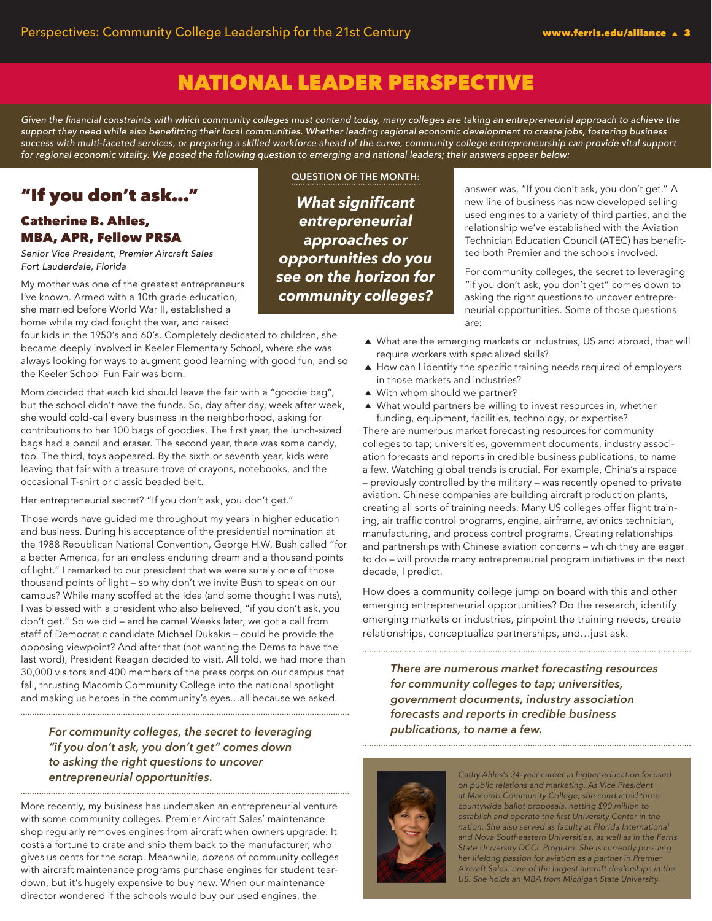# NATIONAL LEADER PERSPECTIVE

Given the financial constraints with which community colleges must contend today, many colleges are taking an entrepreneurial approach to achieve the support they need while also benefitting their local communities. Whether leading regional economic development to create jobs, fostering business success with multi-faceted services, or preparing a skilled workforce ahead of the curve, community college entrepreneurship can provide vital support for regional economic vitality. We posed the following question to emerging and national leaders; their answers appear below:

# "If you don't ask…"

## Catherine B. Ahles, MBA, APR, Fellow PRSA

Senior Vice President, Premier Aircraft Sales *Fort Lauderdale, Florida*

My mother was one of the greatest entrepreneurs I've known. Armed with a 10th grade education, she married before World War II, established a home while my dad fought the war, and raised

four kids in the 1950's and 60's. Completely dedicated to children, she became deeply involved in Keeler Elementary School, where she was always looking for ways to augment good learning with good fun, and so the Keeler School Fun Fair was born.

Mom decided that each kid should leave the fair with a "goodie bag", but the school didn't have the funds. So, day after day, week after week, she would cold-call every business in the neighborhood, asking for contributions to her 100 bags of goodies. The first year, the lunch-sized bags had a pencil and eraser. The second year, there was some candy, too. The third, toys appeared. By the sixth or seventh year, kids were leaving that fair with a treasure trove of crayons, notebooks, and the occasional T-shirt or classic beaded belt.

Her entrepreneurial secret? "If you don't ask, you don't get."

Those words have guided me throughout my years in higher education and business. During his acceptance of the presidential nomination at the 1988 Republican National Convention, George H.W. Bush called "for a better America, for an endless enduring dream and a thousand points of light." I remarked to our president that we were surely one of those thousand points of light – so why don't we invite Bush to speak on our campus? While many scoffed at the idea (and some thought I was nuts), I was blessed with a president who also believed, "if you don't ask, you don't get." So we did – and he came! Weeks later, we got a call from staff of Democratic candidate Michael Dukakis – could he provide the opposing viewpoint? And after that (not wanting the Dems to have the last word), President Reagan decided to visit. All told, we had more than 30,000 visitors and 400 members of the press corps on our campus that fall, thrusting Macomb Community College into the national spotlight and making us heroes in the community's eyes…all because we asked.

# *For community colleges, the secret to leveraging publications, to name a few. "if you don't ask, you don't get" comes down to asking the right questions to uncover entrepreneurial opportunities.*

More recently, my business has undertaken an entrepreneurial venture with some community colleges. Premier Aircraft Sales' maintenance shop regularly removes engines from aircraft when owners upgrade. It costs a fortune to crate and ship them back to the manufacturer, who gives us cents for the scrap. Meanwhile, dozens of community colleges with aircraft maintenance programs purchase engines for student teardown, but it's hugely expensive to buy new. When our maintenance director wondered if the schools would buy our used engines, the

**QUESTION OF THE MONTH:**

*What significant entrepreneurial approaches or opportunities do you see on the horizon for community colleges?*

answer was, "If you don't ask, you don't get." A new line of business has now developed selling used engines to a variety of third parties, and the relationship we've established with the Aviation Technician Education Council (ATEC) has benefitted both Premier and the schools involved.

For community colleges, the secret to leveraging "if you don't ask, you don't get" comes down to asking the right questions to uncover entrepreneurial opportunities. Some of those questions are:

- A What are the emerging markets or industries, US and abroad, that will require workers with specialized skills?
- $\blacktriangle$  How can I identify the specific training needs required of employers in those markets and industries?
- $\triangle$  With whom should we partner?
- $\blacktriangle$  What would partners be willing to invest resources in, whether funding, equipment, facilities, technology, or expertise?

There are numerous market forecasting resources for community colleges to tap; universities, government documents, industry association forecasts and reports in credible business publications, to name a few. Watching global trends is crucial. For example, China's airspace – previously controlled by the military – was recently opened to private aviation. Chinese companies are building aircraft production plants, creating all sorts of training needs. Many US colleges offer flight training, air traffic control programs, engine, airframe, avionics technician, manufacturing, and process control programs. Creating relationships and partnerships with Chinese aviation concerns – which they are eager to do – will provide many entrepreneurial program initiatives in the next decade, I predict.

How does a community college jump on board with this and other emerging entrepreneurial opportunities? Do the research, identify emerging markets or industries, pinpoint the training needs, create relationships, conceptualize partnerships, and…just ask.

*There are numerous market forecasting resources* 

*for community colleges to tap; universities, government documents, industry association forecasts and reports in credible business* 



*Cathy Ahles's 34-year career in higher education focused on public relations and marketing. As Vice President at Macomb Community College, she conducted three countywide ballot proposals, netting \$90 million to*  establish and operate the first University Center in the *nation. She also served as faculty at Florida International and Nova Southeastern Universities, as well as in the Ferris State University DCCL Program. She is currently pursuing her lifelong passion for aviation as a partner in Premier Aircraft Sales, one of the largest aircraft dealerships in the US. She holds an MBA from Michigan State University.*